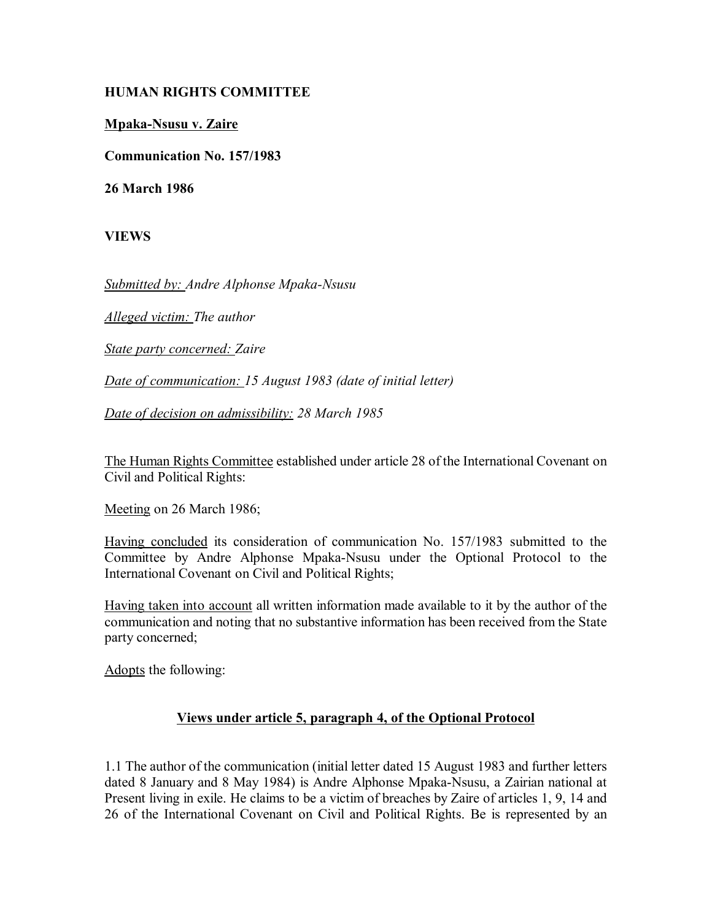## **HUMAN RIGHTS COMMITTEE**

## **Mpaka-Nsusu v. Zaire**

**Communication No. 157/1983**

**26 March 1986**

**VIEWS**

*Submitted by: Andre Alphonse Mpaka-Nsusu* 

*Alleged victim: The author* 

*State party concerned: Zaire* 

*Date of communication: 15 August 1983 (date of initial letter)* 

*Date of decision on admissibility: 28 March 1985*

The Human Rights Committee established under article 28 of the International Covenant on Civil and Political Rights:

Meeting on 26 March 1986;

Having concluded its consideration of communication No. 157/1983 submitted to the Committee by Andre Alphonse Mpaka-Nsusu under the Optional Protocol to the International Covenant on Civil and Political Rights;

Having taken into account all written information made available to it by the author of the communication and noting that no substantive information has been received from the State party concerned;

Adopts the following:

## **Views under article 5, paragraph 4, of the Optional Protocol**

1.1 The author of the communication (initial letter dated 15 August 1983 and further letters dated 8 January and 8 May 1984) is Andre Alphonse Mpaka-Nsusu, a Zairian national at Present living in exile. He claims to be a victim of breaches by Zaire of articles 1, 9, 14 and 26 of the International Covenant on Civil and Political Rights. Be is represented by an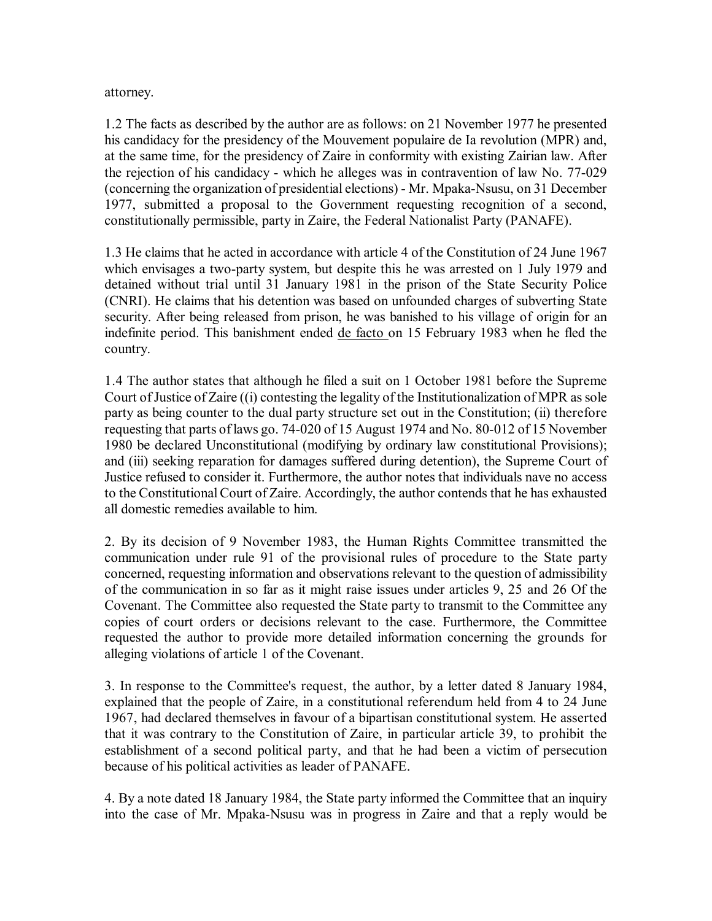## attorney.

1.2 The facts as described by the author are as follows: on 21 November 1977 he presented his candidacy for the presidency of the Mouvement populaire de Ia revolution (MPR) and, at the same time, for the presidency of Zaire in conformity with existing Zairian law. After the rejection of his candidacy - which he alleges was in contravention of law No. 77-029 (concerning the organization of presidential elections) - Mr. Mpaka-Nsusu, on 31 December 1977, submitted a proposal to the Government requesting recognition of a second, constitutionally permissible, party in Zaire, the Federal Nationalist Party (PANAFE).

1.3 He claims that he acted in accordance with article 4 of the Constitution of 24 June 1967 which envisages a two-party system, but despite this he was arrested on 1 July 1979 and detained without trial until 31 January 1981 in the prison of the State Security Police (CNRI). He claims that his detention was based on unfounded charges of subverting State security. After being released from prison, he was banished to his village of origin for an indefinite period. This banishment ended de facto on 15 February 1983 when he fled the country.

1.4 The author states that although he filed a suit on 1 October 1981 before the Supreme Court of Justice of Zaire ((i) contesting the legality of the Institutionalization of MPR as sole party as being counter to the dual party structure set out in the Constitution; (ii) therefore requesting that parts of laws go. 74-020 of 15 August 1974 and No. 80-012 of 15 November 1980 be declared Unconstitutional (modifying by ordinary law constitutional Provisions); and (iii) seeking reparation for damages suffered during detention), the Supreme Court of Justice refused to consider it. Furthermore, the author notes that individuals nave no access to the Constitutional Court of Zaire. Accordingly, the author contends that he has exhausted all domestic remedies available to him.

2. By its decision of 9 November 1983, the Human Rights Committee transmitted the communication under rule 91 of the provisional rules of procedure to the State party concerned, requesting information and observations relevant to the question of admissibility of the communication in so far as it might raise issues under articles 9, 25 and 26 Of the Covenant. The Committee also requested the State party to transmit to the Committee any copies of court orders or decisions relevant to the case. Furthermore, the Committee requested the author to provide more detailed information concerning the grounds for alleging violations of article 1 of the Covenant.

3. In response to the Committee's request, the author, by a letter dated 8 January 1984, explained that the people of Zaire, in a constitutional referendum held from 4 to 24 June 1967, had declared themselves in favour of a bipartisan constitutional system. He asserted that it was contrary to the Constitution of Zaire, in particular article 39, to prohibit the establishment of a second political party, and that he had been a victim of persecution because of his political activities as leader of PANAFE.

4. By a note dated 18 January 1984, the State party informed the Committee that an inquiry into the case of Mr. Mpaka-Nsusu was in progress in Zaire and that a reply would be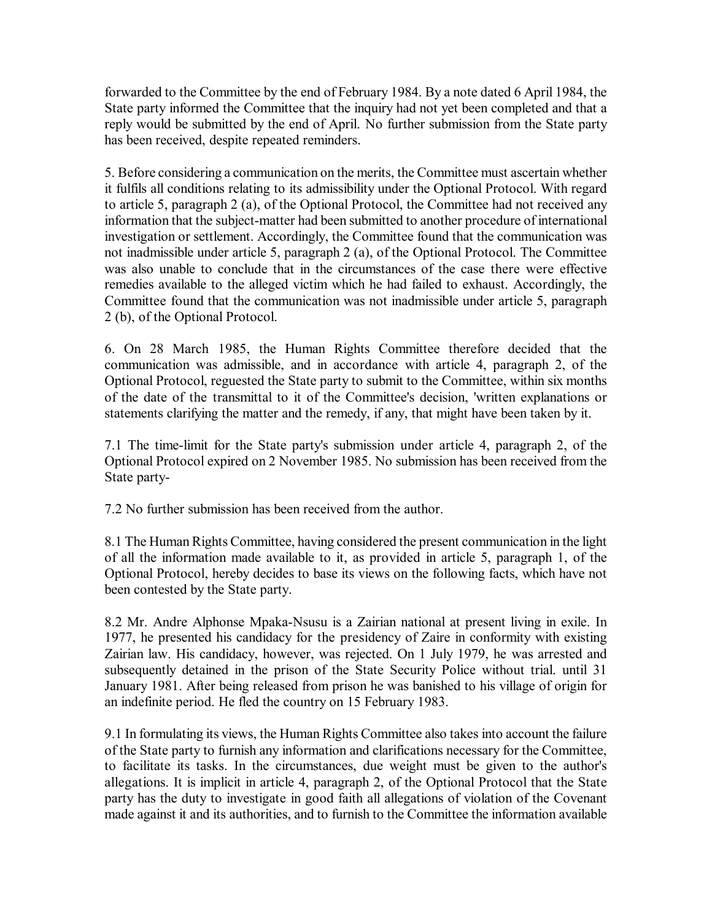forwarded to the Committee by the end of February 1984. By a note dated 6 April 1984, the State party informed the Committee that the inquiry had not yet been completed and that a reply would be submitted by the end of April. No further submission from the State party has been received, despite repeated reminders.

5. Before considering a communication on the merits, the Committee must ascertain whether it fulfils all conditions relating to its admissibility under the Optional Protocol. With regard to article 5, paragraph 2 (a), of the Optional Protocol, the Committee had not received any information that the subject-matter had been submitted to another procedure of international investigation or settlement. Accordingly, the Committee found that the communication was not inadmissible under article 5, paragraph 2 (a), of the Optional Protocol. The Committee was also unable to conclude that in the circumstances of the case there were effective remedies available to the alleged victim which he had failed to exhaust. Accordingly, the Committee found that the communication was not inadmissible under article 5, paragraph 2 (b), of the Optional Protocol.

6. On 28 March 1985, the Human Rights Committee therefore decided that the communication was admissible, and in accordance with article 4, paragraph 2, of the Optional Protocol, reguested the State party to submit to the Committee, within six months of the date of the transmittal to it of the Committee's decision, 'written explanations or statements clarifying the matter and the remedy, if any, that might have been taken by it.

7.1 The time-limit for the State party's submission under article 4, paragraph 2, of the Optional Protocol expired on 2 November 1985. No submission has been received from the State party-

7.2 No further submission has been received from the author.

8.1 The Human Rights Committee, having considered the present communication in the light of all the information made available to it, as provided in article 5, paragraph 1, of the Optional Protocol, hereby decides to base its views on the following facts, which have not been contested by the State party.

8.2 Mr. Andre Alphonse Mpaka-Nsusu is a Zairian national at present living in exile. In 1977, he presented his candidacy for the presidency of Zaire in conformity with existing Zairian law. His candidacy, however, was rejected. On 1 July 1979, he was arrested and subsequently detained in the prison of the State Security Police without trial. until 31 January 1981. After being released from prison he was banished to his village of origin for an indefinite period. He fled the country on 15 February 1983.

9.1 In formulating its views, the Human Rights Committee also takes into account the failure of the State party to furnish any information and clarifications necessary for the Committee, to facilitate its tasks. In the circumstances, due weight must be given to the author's allegations. It is implicit in article 4, paragraph 2, of the Optional Protocol that the State party has the duty to investigate in good faith all allegations of violation of the Covenant made against it and its authorities, and to furnish to the Committee the information available